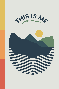

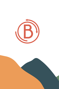

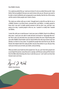#### Dear Middle Schooler,

I'm so glad you picked this up. I want you to know it's not an accident that you did. I truly believe that you grabbed it because you want to know who you are. Because you want to be able to stand confidently and courageously in your identity, that the lies of the enemy and the words of other people won't stand a chance.

This study was written with you in mind. I thought back to what life was like for me as a Middle Schooler, in my floral shorts, mermaid shirt, and Skittles. I so badly wanted to know who I was and I so badly wanted someone to tell me who I was, and that I was going to be okay. I wanted people to like me, too. I wanted it so badly that I handed out Skittles.

I wrote this with you in mind because I want your years in Middle School to be different than mine. I want you to be able to make decisions not based on "will people like me?" but "this is who I am and what Jesus says about me matters the most." Myself along with your other Middle School leaders and our church believe the only way to know your true identity is to find it in Jesus alone. I'm grateful for people that want this for you, like the friends who helped make this study possible, because they believe in you. Because they want you to know you are loved, you matter, and you belong.

What you hold in your hands has been prayed over. You-yes, you!-have been prayed over as you begin this journey. I pray that you're a sponge, and that you soak up all the treasure from the Bible about knowing who Jesus is and who you are. I can't wait to see how that treasure oozes out of you.

Love,

April J. Wahl

*Middle School Director*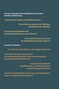**There are so many voices in this world telling us who we should be and what we should be doing.** 

**"If you wear these clothes, you definitely have status."**

**"If your TikTok was viewed at least 1000 times, you definitely have a following."**

**"If you make the basketball A team, you definitely will be known as one of the best."** 

> **"If you send this picture to your crush, you will definitely get him/her to like you."**

**Or maybe it's the opposite…**

**"If you don't wear these clothes, no one is going to talk to you."** 

**"If you don't have social media, you won't have any idea what's going on or what you're missing out on, and you'll get left behind and left out."** 

> **"If you don't at least make the basketball B team, you definitely won't have people showing up to watch you."**

**"If you don't send this picture to your crush, you're just going to be known as a 'goody-two shoes/scaredy cat.'"**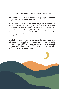That's a LOT of voices trying to tell you who you are and who you're supposed to be.

And we didn't even mention the voice in your own head trying to tell you you're not good enough or worth it because you didn't do this or that.

The good news is this: if we have a relationship with Jesus, our identity, our worth, our value, isn't found in who people say we are, who we should be, or even our own voices inside our heads say we are or should be. Our identity is found in who Jesus says we are. A disciple of Jesus, someone who actively follows him and loves people, values the words of Jesus above anyone else's. We can find out what Jesus says about us by reading the Bible and applying it to our lives. The more we learn about Jesus, the more we discover the identity he's given us.

As you begin this adventure in understanding more about who you are, would you pray that Jesus would do immeasurably more in you than you could ever expect, anticipate, or imagine (Ephesians 3:20)? This could change everything. Are you ready to understand who the Creator of the Universe says you are? That what he says about you matters the most? Let's dive in. Adventure is about to begin.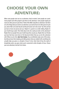## **CHOOSE YOUR OWN ADVENTURE:**

When some people start out on an adventure, they're excited. Some people are scared. Some people want other people to join them on the adventure. Some people maybe just want one other person to join them. Think of this Bible study like an adventure. But there are a few things that you need on an adventure: you need at least one other person to join you, kind of like Carl needs Russell and Russell needs Carl in the movie "Up." We ask that you have at least one person join you. Maybe it's a parent or an older sibling. Maybe it's your Small Group Leader. Then think about who else could you invite on this adventure? Maybe there are people from your Small Group that can join you. Maybe there are friends you have that have never been to The Basement before that you can do this adventure with. What we ask is this: **don't do it alone**. You can definitely study some of this alone, but did you know that studying and talking about what you studied with something else actually helps you grow as a disciple of Jesus? In fact, that's kind of how the math of discipleship works: you grow when you're connected to other disciples of Jesus. Choose your own adventure, but don't do it alone.

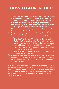### **HOW TO ADVENTURE:**

- 1. Set aside time each day for you to study each Bible passage. It doesn't have to be early **1.** in the morning or late at night. Just like you would have a class schedule at school or an activities schedule, schedule your time to study every day. More than likely when it's scheduled, you'll have a better chance of sticking to that commitment.
- 2. Before you dig in, pray. Ask Jesus to make his presence known to you as you study. Ask the Holy Spirit to lead, guide you, and illuminate God's Word to you. **2.**
- 3. Pull out a notebook/journal or a Note app on your device if that's how you roll. Use this as a space to write down thoughts or notes you have while you study. **3.**
- 4. While you're studying, you're going to ask yourself some questions like this. These are the same kind of questions you're going to talk about with the people you've invited on this adventure. **4.**

**Observation:** Who is in this text? Who is the writer of this text speaking to? What's going on? What details do you notice? What words do you see repeated? **Interpret:** This is where you ask the Holy Spirit to show you what this passage means and lean into things called study Bibles or commentaries. We've provided some of that here for you. Good interpretation is SUPER important when it comes to studying the Bible.

**Application:** Ask the questions, what is this passage telling me to do? How am I going to apply this passage to my life?

Do you want to connect online with others on the adventure? With your parent/ guardian's permission, go to RightNowMedia and type in "This Is Me" (rightnowmedia. org/Content/VideoElement/500520). There's a video to go with each Bible passage and questions to answer. **5.**

In the pages that follow, you're going to find a passage of Scripture that talks about Identity. Each passage of Scripture has statements declaring the truth of what this Scripture says. To help you grow in understanding your identity in Jesus, take the opportunity to memorize these verses and the statements. When you're faced with people who try to tell you who you are or aren't, the Holy Spirit will remind you of what Scripture says about **who** you are and **Whose** you are.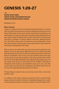### **GENESIS 1:26-27**

I AM… **CREATED IN GOD'S IMAGE. CREATED TO HAVE A RELATIONSHIP WITH GOD. CREATED ON PURPOSE FOR GOD'S PURPOSE.**

Read Genesis 1:26-31

#### **What's Going On:**

Creation is an expression of love. God created this world and all that is in it. And he said it was good. This passage tells us that God created man and woman in His own image. Human beings are the special creation of God placed in his kingdom as his representatives. Our special creation gives each human being individual worth and value. Human beings are different from any other thing that God created because God made us, and made us to bring his likeness to the earth, making him known here. That's what it means when we read that we are the image-bearers of God. Every human that has existed and every human that will exist is given worth and value because of being made in God's image.

When we start to see ourselves this way, that we were made on purpose for God's purposes, we start to view ourselves differently. We start to see that we have been given value and worth. We start to see that as an image-bearer of God, we are worth the price of redemption. John 3:16 says, "For God so loved the world, that he gave his one and only son, that whoever believes in him will not perish but have eternal life." The rest of the Bible demonstrates how important human beings truly are to God. Despite man's fall into sin, God continues to love. The Bible is the history of redemption, of God reaching out to humankind to rescue and to save. Even when we were sinners, you and I were still so important to God that He sent His Son. You and I are still so important that Jesus died to free us from sin.

If human beings are special to God, we must learn to love others, and can love ourselves as well.

As a reflection of the Creator, each person is precious to God. As a bearer of God's image, each person is worth even the price of redemption through Jesus. You and I can never again look at others or ourselves as valueless. We bear the image of God.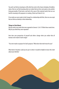You and I can find no meaning in a life which has roots in the chance interplay of mindless atoms. But we can find meaning when we realize that our lives were given us by another living personality. If God exists, and God is the cause of the material world, then we can look for meaning in His purposes in creating. (Check out Psalm 8:3-6).

If we realize we were made in God's image for a relationship with Him, then we can accept that we find our identity in that relationship.

#### **Things to Chat About:**

Did you notice any words that were repeated in Genesis 1:26-31? Write those words here. Why do you think they were repeated?

How does your perspective of yourself and others change when you realize that all humans were made in God's image?

"You were made on purpose for God's purposes." What does that truth mean for you?

What kind of situation could you be put in where it would be helpful to know this truth about your identity?

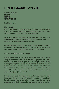## **EPHESIANS 2:1-10**

BECAUSE OF JESUS, I AM... **FORGIVEN. ACCEPTED. GOD'S MASTERPIECE.**

Read Ephesians 2:1-10

#### **What's Going On:**

The Mona Lisa is a painting that is known as a masterpiece. Painted by Leonardo da Vinci in the 1500s, it is probably the world's most famous painting or at least one of the world's most famous paintings. It now hangs in the Louvre Museum, Paris.

If you're in Paris wanting to go take a peek at the Mona Lisa, grab a selfie, or just stare at her for awhile wondering if she's really smiling or not, you can totally do that. But if you want to reach out and touch the painting, that's a hard no.

After several attacks against the Mona Lisa, a bulletproof glass case was put around the painting. Mona is protected by a glass that is 1.52-inches thick. This glass case helped protect her from one museumgoer who threw a ceramic mug at her in 2009.

That's some massive protection for this masterpiece.

In Ephesians 2, followers of Jesus are given an incredible perspective of who we are when we say 'yes' to a relationship with him. We move from being separated from God to a relationship with him. We are saved by him, and it has nothing to do with us 'working' or earning that saving. It's all a gift from God out of his mercy and love for us. Verse 10 of Ephesians 2 shows us who we really are: we are God's masterpiece. Just as intently as da Vinci created the Mona Lisa, we were created by God in Jesus. God raised us from the dead along with Christ and seated us with him in the heavenly realms because we are united with Christ Jesus (verse 6). That's a big deal.

Think about how protected the Mona Lisa is from outsiders trying to destroy her or alter her appearance. If that's the amount of effort put into protecting a painting's identity from being destroyed or altered, how much more protection is placed on you by God, by the power of the Holy Spirit, and the work of Jesus to protect your identity from being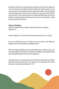destroyed or altered? You are protected by the authority and power of Jesus. Right now, Jesus sits in heaven at the right hand of God the Father. He watches over you, he sees you, he notices you, and he protects you from anything that anyone could say or do that could take away from who God says you are. Someone can say to you "you're worthless; you don't matter." Those words won't and can't change ANYTHING about who you are. Nothing can change the truth of who God says you are. You are his masterpiece. Created by him on purpose for his purpose.

#### **Things to Chat About:**

What is our condition before we begin a relationship with Jesus, according to Ephesians 2:1?

What does Ephesians 2:4-5 tell us about God and his compassion for us, for anyone?

Do you ever think that you have to do things to earn your worth or value? What does Ephesians 2:8-9 tell us about feeling or thinking that way?

What is the biggest roadblock you face in understanding that as a follower of Jesus, you are God's masterpiece? Or if you don't have this kind of roadblock, what roadblock do you face viewing other followers of Jesus as God's masterpiece?

As disciples of Jesus, we can share this good news with other people. We can tell others about what God has done for them. How could you have a conversation with a friend, classmate, or teammate about Ephesians 2:1-10?

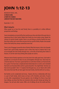# **JOHN 1:12-13**

BECAUSE OF JESUS, I AM... **A CHILD A GOD. A PART OF A FAMILY. LOVED BY THE BEST DAD EVER.**

Read John 1:1-18

#### **What's Going On:**

When people see or hear the word 'family,' there is a possibility of a million different perspectives and feelings.

Some immediately are turned off by that word because they only think of the pain they've experienced due to their family. Maybe their family has never gotten along. Maybe the 'picture' of a 'perfect family' (spoiler: there is no such thing as a perfect family) has never been their reality, but it seems like everyone else has a perfect family. Maybe some people think of the family they always wanted but never had.

There's a lot of 'baggage' around the idea of family. What that means is that a lot of people haven't had a great family experience and so when they read in Scripture that it says we are brought into God's family through Jesus, or the idea of God being their Father in Heaven, it's not the warm fuzzy feeling other people are used to.

Whatever kind of family experience we've had, here's the really good news: God made it possible for us to become his kids, his sons and daughters through Jesus. That means he is the best dad ever. If we have a great dad here on earth that reminds us of God and who he is, great. If we have had a complicated dad relationship here on earth, we're reminded that God is our heavenly Father and he is good and perfect. You might think, "but how can that even be possible?" John 1:13 explains that through Jesus, we are 'reborn with a birth that comes from God.' We are 'born again' into God's family. And this birth isn't as messy.

But families can be complicated and messy. Anyone who has a relationship with Jesus is a part of God's family, which means we have a LOT of brothers and sisters. If you're an only child, congratulations! You just gained a ton of siblings! For those of you that have siblings, you know that there are moments when you don't always get along. You disagree. You call each other names. With a lot of siblings all over the world and from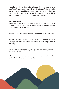different backgrounds, these kinds of things will happen. We will mess up and hurt each other. We ask for forgiveness and forgive. No family is perfect, but families can also be spaces where we are reminded that we are loved, we matter, and we belong. That's what we get to remind each other of all day, every day. This is the truth about being a child of God and being a part of God's family: we are loved, we matter, and we belong.

#### **Things to Chat About:**

Who is the author, John, talking about in verses 1-5 when he uses "Word" and "light?" (If you're not sure, think about who it was that God sent to be a living example of who He is and what he represents here on earth?)

When you think of the word 'family,' what comes to your mind? Write or draw what you think.

What does it mean to you, regardless of having a positive family experience or negative family experience, that because of Jesus, you are loved, you matter, and you belong in God's family?

If you are a part of God's family, how do you think you should view or treat your 'siblings' other followers of Jesus?

God is a great Dad who takes great care of his kids. Knowing that, how does it change how you view situations that are a struggle in your life?

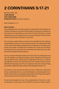## **2 CORINTHIANS 5:17-21**

BECAUSE OF JESUS, I AM... **A NEW CREATION. JESUS' AMBASSADOR. RECONCILED TO GOD-**aka God isn't mad at you!

Read 2 Corinthians 5:11-21

#### **What's Going On:**

Brand ambassadors know a lot about a product or a brand and that's why companies will ask them to do things on social media with their product or their brand. If a company sees that someone has a large following on social media, they'll pick that person as a brand ambassador because the company knows more and more people get to know the brand and buy it just by that person sharing it on social media.

Paul, who wrote a number of letters to churches that are included in the NT, is writing to a group of followers of Jesus in a church in the city of Corinth. He's writing this letter after he hears stories of these followers getting off track on following Jesus and living out his mission to love people. The attitude of the Corinthians was one that was self-centered. The people that were a part of the church were being more influenced by voices other than Jesus and actually living those things out.

Paul was concerned with people teaching in the church that were promoting their own ideas. The Corinthians were allowing the popular crowd to determine how they lived and what they believed. Paul is writing to them to remind them of who Jesus is, of what he had taught them, who they were and how they were to live. Followers of Jesus were to live differently than the popular crowd. They were supposed to have values and ways of living that would be so different that they would turn the world upside down (Acts 17:6).

Paul continues to teach and show the followers of Jesus in Corinth and us today that if we have a relationship with Jesus, are actively following him, and loving people, then we should no longer live for our own agendas and motivations. We no longer want people to notice us because of who we are but of who Christ is within us.

We are brand ambassadors for Jesus. We are representatives of Jesus here on earth. An ambassador is someone that is sent on behalf of one country to another country to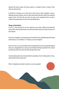represent the home country. Our home country, as a disciple of Jesus, is heaven. That's what we represent here.

It should be so freeing to us to hear that we don't have to build a platform or gain a following, because honestly, Jesus has done that already. We get to reflect him and point people to him. He's done the most work. He gave us the assignment. Now we get to continue the group project and turn the world upside down.

#### **Things to Chat About:**

In verse 17, Paul says that we are 'new creations in Jesus Christ.' What do you think this means? (Hint: does God determine our worth and value by what we've done or who we've been? Nope!)

Do you ever struggle to see beyond your past mistakes? How could believing and trusting what God says in 2 Corinthians 5:17 help you see you're forgiven?

Because of Jesus, we are reconciled to God, meaning that he's not some angry Dad looking down at us, disappointed in us. Have you ever looked at God that way before? If so, why do you think you have? How does this truth change that for you?

A brand ambassador knows the brand they're promoting. If we're ambassadors of Jesus, what should we know about him?

Why is it tempting to 'promote' ourselves or our own agendas?

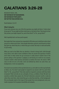## **GALATIANS 3:26-28**

BECAUSE OF JESUS, I AM... **NOT DEFINED BY MY BACKGROUND. NOT DEFINED BY POPULARITY. NOT BETTER THAN ANYONE ELSE.**

Read Galatians 3:26-29

#### **What's Going On:**

If you meet someone new, one of the first questions you might ask them is "what school do you go to?" Or you might ask them what town or city they're from. Then based on how they answer, you might respond "ew, you're from there?" or "oh...you go there?"

Well, hopefully that's not how you'd respond.

But maybe that's how someone has responded to YOU when you've told them what school you go to or where you're from. Some people determine a person's worth based on where they grew up, where they live, or where they go to school. Not only is it rude and hurtful, it's just wrong.

When we read in the Bible that our identity is found in being God's child through Jesus Christ, we're able to have confidence when we answer the question of where we're from or what school we go to because it really doesn't matter! Even if the person asking us the question is judging us and basing our worth on our answer, it doesn't matter: what God has said about us matters the most. His word is 100% clear on who we are as his kids: we're not defined by where we came from, our background, or even our popularity.

If we start to see ourselves in the way that God sees us, we're able to see the way God looks at others, too. If we don't want people to respond to our answers with "ew, you're from there?" or "oh...you go there?," then why would we respond to someone with those kinds of answers? That's not who we are as disciples of Jesus, as children of God. We don't see ourselves as better than anyone else. We don't determine someone's worth or value by where they come from, what school they go to, what they look like, or their background. We see all people made in the image of God, people from every background, every race, made on purpose for his purpose beautifully and uniquely.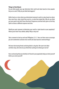#### **Things to Chat About:**

Do you think people your age determine their worth and value based on how popular they are or aren't? Why do you think that happens?

Reflect back on a time where you determined someone's worth or value based on where they came from, what school they went to, or what they looked like. Why do you think you were quick to do that? Know that there's forgiveness and that God's given us the Holy Spirit to choose a different response next time.

Would you want someone to determine your worth or value based on your popularity? Where you're from? Your athletic ability? Why or why not?

Take a moment to look up and read Philippians 2:3-5. How can these verses encourage you not to determine someone else's worth and value based on external things?

We know that having friends and being liked is a big deal. We want to be liked and that's okay. But when do you think that wanting to be liked goes too far?

How can knowing that your identity isn't found in your popularity help you check yourself before you wreck yourself?

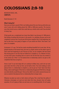### **COLOSSIANS 2:9-10**

#### BECAUSE OF JESUS, I AM... **COMPLETE.**

Read Colossians 2:1-10

#### **What's Going On?**

Have you ever done a puzzle? We're not talking about the ones that you did when you were 4 years old; we're talking about the 1000 or 2000 piece puzzles. The massive ones that stretch across a table that could take up a whole entire wall if you decided to hang it up.

If that puzzle was a complicated one (more than likely it was because it's 1000 pieces), that feeling of putting that last piece in the puzzle is so satisfying. Because you've just completed a massive task. You just put all the pieces together that, in the beginning, you had no idea how it was going to happen or if you would ever finish. Then boom. Last piece. It is complete.

Ecclesiastes 3:11 says, 'Yet God has made everything beautiful for its own time. He has planted eternity in the human heart, but even so, people cannot see the whole scope of God's work from beginning to end." Because of Jesus, we are complete. We have found that missing piece in our lives that we looked for to complete us. As a follower of Jesus, we have been given everything that we need to live the life that Jesus has invited us to live (check out 2 Peter 1:3). No material item or relationship could or can give us the completion that Jesus can give us.

Verses 6 and 7 in our text today tell us to continue to follow Jesus, and to let our roots grow down into him so that our lives can be built on him. If we were looking at some physical item or a relationship to complete us, and we put our "roots" down into those things, what would happen if that item or relationship disappeared? We'd feel as though our entire identity would fall apart. That our lives didn't even matter anymore because we were so rooted in that physical item or relationship that no longer exists.

Whatever we plant our roots in, that's where we'll grow. This is why Paul, the author of Colossians, encourages us to put our roots down into Jesus, because Jesus isn't going anywhere. He isn't going to flake out and move on to something better. He isn't going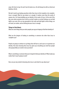away. He's here to stay. He won't turn his back on us. He will always be with us (check out Matthew 28:20).

We don't need to go looking anywhere other than Jesus to feel complete or be complete. Jesus is enough. What he says about us is enough. It matters more than the words of anyone else. Let's keep building up our identity in the words of Jesus. At the end of the day, even when someone tries to tell us we don't matter or we don't belong, we can hold tight to our roots. We can stay grounded to the truth and hold tight to these things: we are loved, we matter, and we belong because Jesus is enough.

#### **Things to Chat About:**

What are some things that you notice people your age are hoping to find their identity in?

What are the dangers of looking to something or someone else other than Jesus to 'complete' you?

People are going to continue to say things that will hurt us and cause us to question our identity. How does knowing that Jesus has given you everything you need face people who purposefully use words to tear you down?

What is something or someone that you've hoped to find your identity in? What made you realize that it wasn't going to work?

How can you stay rooted in knowing who Jesus is and what he says about you?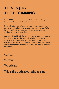## **THIS IS JUST THE BEGINNING**

YAY! You did it! We're so proud of you for saying 'yes' to this adventure. Have you grown? Do you know a little bit more about your identity as a disciple of Jesus?

The reality is that as long as we're humans, we're going to be dealing with people (or ourselves) saying things that can cause us to question our worth and our value. That's why it's so important for us to keep coming back to the truth, to come back to what the Bible says about who we are as followers of Jesus.

We can't stop the hurtful words of other people or even the negative voice in our own head, but we can come after those words with truths that are more powerful than any negative word. We encourage you to keep reading these verses and memorizing the verses and statements with each one. When you're standing in a lunch room or in a locker room facing hurtful, painful words, the Holy Spirit will remind you of who you are and Whose you are.

You are loved.

You matter.

### **You belong.**

### **This is the truth about who you are.**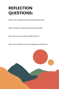# **REFLECTION QUESTIONS:**

What are some of the biggest things you learned through this study?

What is something you're still having a hard time understanding?

Who is someone else you could share this Bible study with?

What is at least one thing you want to start applying to your life right now?